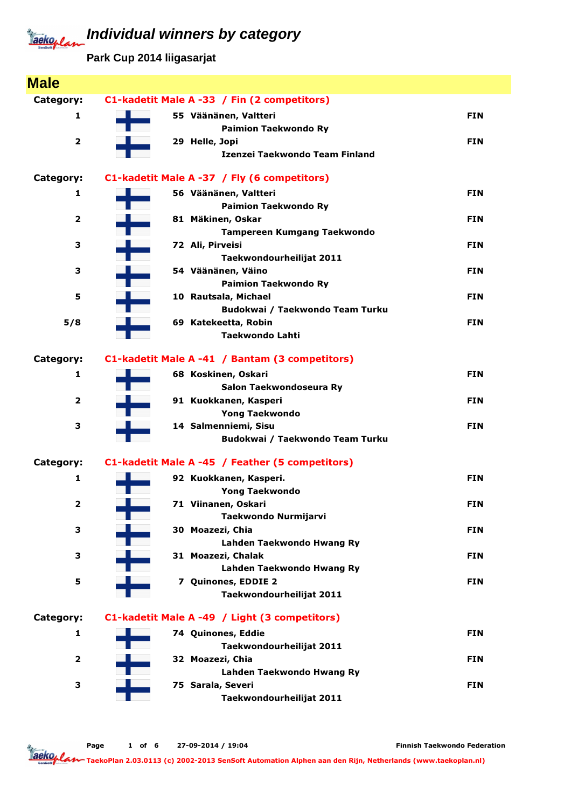**Park Cup 2014 liigasarjat**

| <b>Male</b>             |                                                        |            |
|-------------------------|--------------------------------------------------------|------------|
| Category:               | C1-kadetit Male A -33 / Fin (2 competitors)            |            |
| $\mathbf{1}$            | 55 Väänänen, Valtteri                                  | <b>FIN</b> |
|                         | <b>Paimion Taekwondo Ry</b>                            |            |
| $\mathbf{2}$            | 29 Helle, Jopi                                         | <b>FIN</b> |
|                         | Izenzei Taekwondo Team Finland                         |            |
| Category:               | C1-kadetit Male A -37 / Fly (6 competitors)            |            |
| 1                       | 56 Väänänen, Valtteri                                  | <b>FIN</b> |
|                         | <b>Paimion Taekwondo Ry</b>                            |            |
| $\overline{2}$          | 81 Mäkinen, Oskar                                      | <b>FIN</b> |
| 3                       | <b>Tampereen Kumgang Taekwondo</b><br>72 Ali, Pirveisi | <b>FIN</b> |
|                         | Taekwondourheilijat 2011                               |            |
| 3                       | 54 Väänänen, Väino                                     | <b>FIN</b> |
|                         | <b>Paimion Taekwondo Ry</b>                            |            |
| 5                       | 10 Rautsala, Michael                                   | <b>FIN</b> |
|                         | Budokwai / Taekwondo Team Turku                        |            |
| 5/8                     | 69 Katekeetta, Robin                                   | <b>FIN</b> |
|                         | <b>Taekwondo Lahti</b>                                 |            |
| Category:               | C1-kadetit Male A -41 / Bantam (3 competitors)         |            |
| 1                       | 68 Koskinen, Oskari                                    | <b>FIN</b> |
|                         | Salon Taekwondoseura Ry                                |            |
| $\overline{\mathbf{2}}$ | 91 Kuokkanen, Kasperi                                  | <b>FIN</b> |
|                         | <b>Yong Taekwondo</b>                                  |            |
| 3                       | 14 Salmenniemi, Sisu                                   | <b>FIN</b> |
|                         | Budokwai / Taekwondo Team Turku                        |            |
| Category:               | C1-kadetit Male A -45 / Feather (5 competitors)        |            |
| 1                       | 92 Kuokkanen, Kasperi.                                 | <b>FIN</b> |
|                         | <b>Yong Taekwondo</b>                                  |            |
| 2                       | 71 Viinanen, Oskari                                    | <b>FIN</b> |
|                         | Taekwondo Nurmijarvi<br>30 Moazezi, Chia               | <b>FIN</b> |
| З                       | Lahden Taekwondo Hwang Ry                              |            |
| 3                       | 31 Moazezi, Chalak                                     | <b>FIN</b> |
|                         | Lahden Taekwondo Hwang Ry                              |            |
| 5                       | 7 Quinones, EDDIE 2                                    | <b>FIN</b> |
|                         | Taekwondourheilijat 2011                               |            |
| Category:               | C1-kadetit Male A -49 / Light (3 competitors)          |            |
| 1                       | 74 Quinones, Eddie                                     | <b>FIN</b> |
|                         | Taekwondourheilijat 2011                               |            |
| $\overline{\mathbf{2}}$ | 32 Moazezi, Chia                                       | <b>FIN</b> |
|                         | Lahden Taekwondo Hwang Ry                              |            |
| 3                       | 75 Sarala, Severi                                      | <b>FIN</b> |
|                         | Taekwondourheilijat 2011                               |            |

Finnish Taekwondo Federation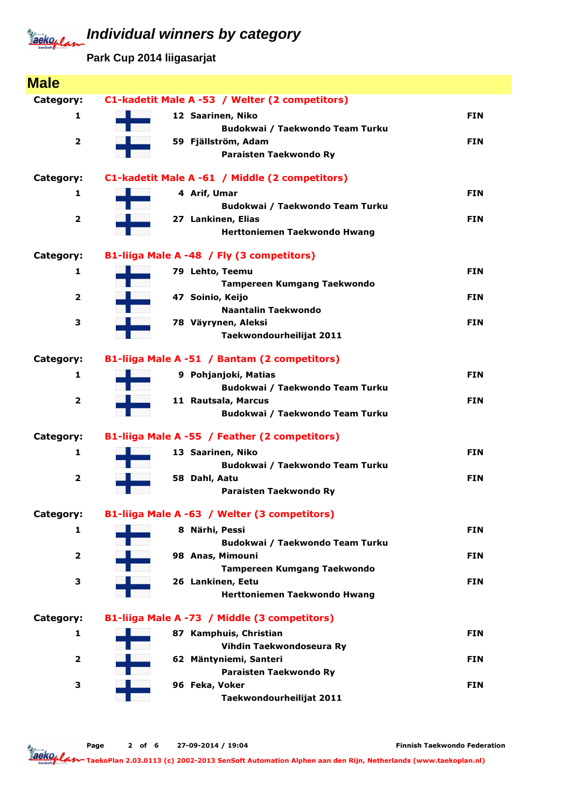**Park Cup 2014 liigasarjat**

| <b>Male</b>             |                                                        |            |
|-------------------------|--------------------------------------------------------|------------|
| Category:               | C1-kadetit Male A -53 / Welter (2 competitors)         |            |
| 1                       | 12 Saarinen, Niko                                      | <b>FIN</b> |
|                         | Budokwai / Taekwondo Team Turku                        |            |
| $\overline{\mathbf{2}}$ | 59 Fjällström, Adam                                    | <b>FIN</b> |
|                         | Paraisten Taekwondo Ry                                 |            |
| Category:               | C1-kadetit Male A -61 / Middle (2 competitors)         |            |
| 1                       | 4 Arif, Umar                                           | <b>FIN</b> |
| $\overline{\mathbf{2}}$ | Budokwai / Taekwondo Team Turku<br>27 Lankinen, Elias  | <b>FIN</b> |
|                         | Herttoniemen Taekwondo Hwang                           |            |
| Category:               | B1-liiga Male A -48 / Fly (3 competitors)              |            |
| 1                       | 79 Lehto, Teemu                                        | <b>FIN</b> |
|                         | <b>Tampereen Kumgang Taekwondo</b>                     |            |
| $\overline{\mathbf{2}}$ | 47 Soinio, Keijo                                       | <b>FIN</b> |
|                         | <b>Naantalin Taekwondo</b>                             |            |
| 3                       | 78 Väyrynen, Aleksi                                    | <b>FIN</b> |
|                         | Taekwondourheilijat 2011                               |            |
| Category:               | B1-liiga Male A -51 / Bantam (2 competitors)           |            |
| 1                       | 9 Pohjanjoki, Matias                                   | <b>FIN</b> |
|                         | Budokwai / Taekwondo Team Turku                        |            |
| $\overline{\mathbf{2}}$ | 11 Rautsala, Marcus<br>Budokwai / Taekwondo Team Turku | <b>FIN</b> |
| Category:               | B1-liiga Male A -55 / Feather (2 competitors)          |            |
| 1                       |                                                        | <b>FIN</b> |
|                         | 13 Saarinen, Niko<br>Budokwai / Taekwondo Team Turku   |            |
| $\overline{\mathbf{2}}$ | 58 Dahl, Aatu                                          | <b>FIN</b> |
|                         | Paraisten Taekwondo Ry                                 |            |
| Category:               | B1-liiga Male A -63 / Welter (3 competitors)           |            |
| 1                       | 8 Närhi, Pessi                                         | <b>FIN</b> |
|                         | Budokwai / Taekwondo Team Turku                        |            |
| 2                       | 98 Anas, Mimouni                                       | <b>FIN</b> |
|                         | <b>Tampereen Kumgang Taekwondo</b>                     |            |
| 3                       | 26 Lankinen, Eetu                                      | <b>FIN</b> |
|                         | <b>Herttoniemen Taekwondo Hwang</b>                    |            |
| Category:               | B1-liiga Male A -73 / Middle (3 competitors)           |            |
| 1                       | 87 Kamphuis, Christian                                 | <b>FIN</b> |
| $\overline{\mathbf{2}}$ | Vihdin Taekwondoseura Ry<br>62 Mäntyniemi, Santeri     | <b>FIN</b> |
|                         | Paraisten Taekwondo Ry                                 |            |
| 3                       | 96 Feka, Voker                                         | <b>FIN</b> |
|                         | Taekwondourheilijat 2011                               |            |

Page 2 of 6 27-09-2014 / 19:04

Finnish Taekwondo Federation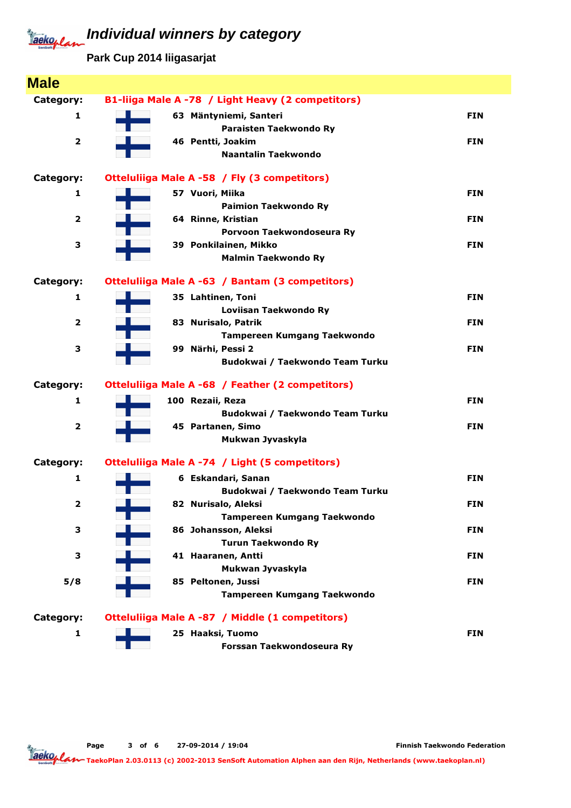**Park Cup 2014 liigasarjat**

| <b>Male</b>             |                                                           |            |
|-------------------------|-----------------------------------------------------------|------------|
| Category:               | B1-liiga Male A -78 / Light Heavy (2 competitors)         |            |
| 1                       | 63 Mäntyniemi, Santeri                                    | <b>FIN</b> |
|                         | Paraisten Taekwondo Ry                                    |            |
| $\overline{\mathbf{2}}$ | 46 Pentti, Joakim                                         | <b>FIN</b> |
|                         | <b>Naantalin Taekwondo</b>                                |            |
| Category:               | Otteluliiga Male A -58 / Fly (3 competitors)              |            |
| 1                       |                                                           | <b>FIN</b> |
|                         | 57 Vuori, Miika<br><b>Paimion Taekwondo Ry</b>            |            |
| $\overline{\mathbf{2}}$ | 64 Rinne, Kristian                                        | <b>FIN</b> |
|                         | Porvoon Taekwondoseura Ry                                 |            |
| 3                       | 39 Ponkilainen, Mikko                                     | <b>FIN</b> |
|                         | <b>Malmin Taekwondo Ry</b>                                |            |
|                         |                                                           |            |
| Category:               | Otteluliiga Male A -63 / Bantam (3 competitors)           |            |
| 1                       | 35 Lahtinen, Toni                                         | <b>FIN</b> |
| $\overline{\mathbf{2}}$ | Loviisan Taekwondo Ry                                     |            |
|                         | 83 Nurisalo, Patrik<br><b>Tampereen Kumgang Taekwondo</b> | <b>FIN</b> |
| 3                       | 99 Närhi, Pessi 2                                         | <b>FIN</b> |
|                         | Budokwai / Taekwondo Team Turku                           |            |
|                         |                                                           |            |
| Category:               | Otteluliiga Male A -68 / Feather (2 competitors)          |            |
| 1                       | 100 Rezaii, Reza                                          | <b>FIN</b> |
|                         | Budokwai / Taekwondo Team Turku                           |            |
| $\overline{\mathbf{2}}$ | 45 Partanen, Simo                                         | <b>FIN</b> |
|                         | Mukwan Jyvaskyla                                          |            |
| Category:               | Otteluliiga Male A -74 / Light (5 competitors)            |            |
| 1                       | 6 Eskandari, Sanan                                        | <b>FIN</b> |
|                         | Budokwai / Taekwondo Team Turku                           |            |
| 2                       | 82 Nurisalo, Aleksi                                       | <b>FIN</b> |
|                         | <b>Tampereen Kumgang Taekwondo</b>                        |            |
| З                       | 86 Johansson, Aleksi                                      | <b>FIN</b> |
|                         | <b>Turun Taekwondo Ry</b>                                 |            |
| 3                       | 41 Haaranen, Antti                                        | <b>FIN</b> |
| 5/8                     | Mukwan Jyvaskyla<br>85 Peltonen, Jussi                    | <b>FIN</b> |
|                         | Tampereen Kumgang Taekwondo                               |            |
|                         |                                                           |            |
| Category:               | Otteluliiga Male A -87 / Middle (1 competitors)           |            |
| 1                       | 25 Haaksi, Tuomo                                          | <b>FIN</b> |
|                         | Forssan Taekwondoseura Ry                                 |            |

Page 3 of 6 27-09-2014 / 19:04

Finnish Taekwondo Federation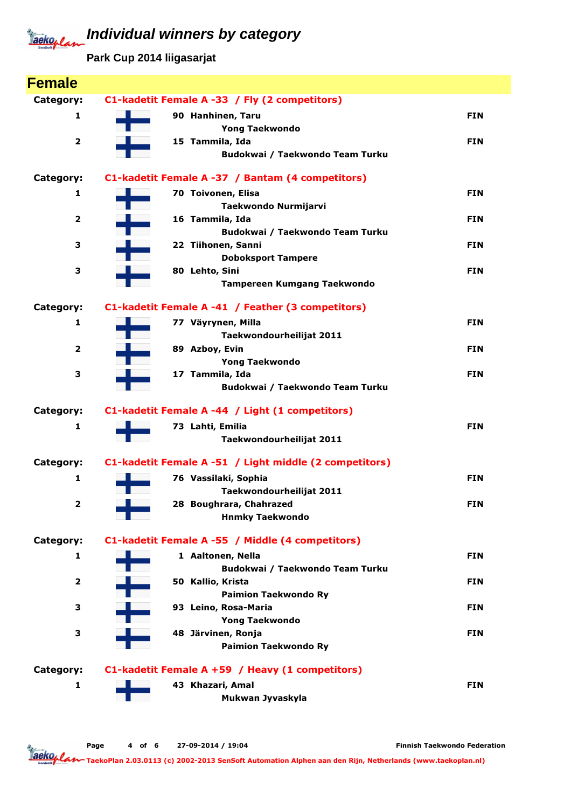**Park Cup 2014 liigasarjat**

| <b>Female</b>           |                                                        |            |
|-------------------------|--------------------------------------------------------|------------|
| Category:               | C1-kadetit Female A -33 / Fly (2 competitors)          |            |
| 1                       | 90 Hanhinen, Taru                                      | <b>FIN</b> |
|                         | <b>Yong Taekwondo</b>                                  |            |
| $\overline{\mathbf{2}}$ | 15 Tammila, Ida                                        | <b>FIN</b> |
|                         | Budokwai / Taekwondo Team Turku                        |            |
| Category:               | C1-kadetit Female A -37 / Bantam (4 competitors)       |            |
| 1                       | 70 Toivonen, Elisa                                     | <b>FIN</b> |
|                         | Taekwondo Nurmijarvi                                   |            |
| $\overline{\mathbf{2}}$ | 16 Tammila, Ida                                        | <b>FIN</b> |
|                         | Budokwai / Taekwondo Team Turku                        |            |
| З                       | 22 Tiihonen, Sanni                                     | <b>FIN</b> |
| 3                       | <b>Doboksport Tampere</b><br>80 Lehto, Sini            | <b>FIN</b> |
|                         | <b>Tampereen Kumgang Taekwondo</b>                     |            |
|                         |                                                        |            |
| Category:               | C1-kadetit Female A -41 / Feather (3 competitors)      |            |
| 1                       | 77 Väyrynen, Milla                                     | <b>FIN</b> |
|                         | Taekwondourheilijat 2011                               |            |
| $\overline{\mathbf{2}}$ | 89 Azboy, Evin                                         | <b>FIN</b> |
|                         | <b>Yong Taekwondo</b>                                  |            |
| 3                       | 17 Tammila, Ida                                        | <b>FIN</b> |
|                         | Budokwai / Taekwondo Team Turku                        |            |
| Category:               | C1-kadetit Female A -44 / Light (1 competitors)        |            |
| 1                       | 73 Lahti, Emilia                                       | <b>FIN</b> |
|                         | Taekwondourheilijat 2011                               |            |
| Category:               | C1-kadetit Female A -51 / Light middle (2 competitors) |            |
| $\mathbf{1}$            | 76 Vassilaki, Sophia                                   | <b>FIN</b> |
|                         | Taekwondourheilijat 2011                               |            |
| 2                       | 28 Boughrara, Chahrazed                                | <b>FIN</b> |
|                         | <b>Hnmky Taekwondo</b>                                 |            |
| Category:               | C1-kadetit Female A -55 / Middle (4 competitors)       |            |
| 1                       | 1 Aaltonen, Nella                                      | <b>FIN</b> |
|                         | Budokwai / Taekwondo Team Turku                        |            |
| $\overline{\mathbf{2}}$ | 50 Kallio, Krista                                      | <b>FIN</b> |
|                         | <b>Paimion Taekwondo Ry</b>                            |            |
| з                       | 93 Leino, Rosa-Maria                                   | <b>FIN</b> |
| 3                       | <b>Yong Taekwondo</b><br>48 Järvinen, Ronja            | <b>FIN</b> |
|                         | <b>Paimion Taekwondo Ry</b>                            |            |
|                         |                                                        |            |
| Category:               | C1-kadetit Female A +59 / Heavy (1 competitors)        |            |
| $\mathbf{1}$            | 43 Khazari, Amal                                       | <b>FIN</b> |
|                         | Mukwan Jyvaskyla                                       |            |
|                         |                                                        |            |

Page 4 of 6 27-09-2014 / 19:04

Finnish Taekwondo Federation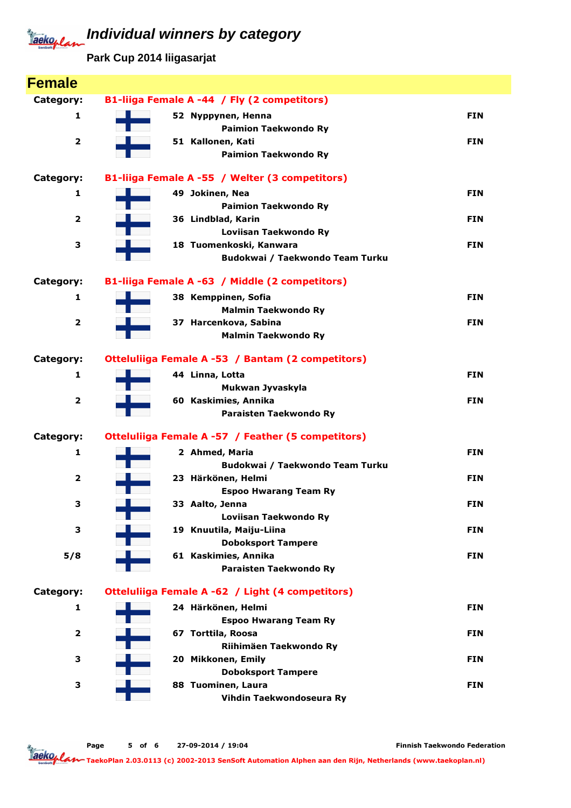**Park Cup 2014 liigasarjat**

| <b>Female</b>           |                                                    |            |
|-------------------------|----------------------------------------------------|------------|
| Category:               | B1-liiga Female A -44 / Fly (2 competitors)        |            |
| 1                       | 52 Nyppynen, Henna                                 | <b>FIN</b> |
|                         | <b>Paimion Taekwondo Ry</b>                        |            |
| $\overline{\mathbf{2}}$ | 51 Kallonen, Kati                                  | <b>FIN</b> |
|                         | <b>Paimion Taekwondo Ry</b>                        |            |
| Category:               | B1-liiga Female A -55 / Welter (3 competitors)     |            |
| 1                       | 49 Jokinen, Nea                                    | <b>FIN</b> |
|                         | <b>Paimion Taekwondo Ry</b>                        |            |
| $\overline{\mathbf{2}}$ | 36 Lindblad, Karin                                 | <b>FIN</b> |
| 3                       | Loviisan Taekwondo Ry<br>18 Tuomenkoski, Kanwara   | <b>FIN</b> |
|                         | Budokwai / Taekwondo Team Turku                    |            |
|                         |                                                    |            |
| Category:               | B1-liiga Female A -63 / Middle (2 competitors)     |            |
| 1                       | 38 Kemppinen, Sofia                                | <b>FIN</b> |
|                         | <b>Malmin Taekwondo Ry</b>                         |            |
| $\overline{\mathbf{2}}$ | 37 Harcenkova, Sabina                              | <b>FIN</b> |
|                         | <b>Malmin Taekwondo Ry</b>                         |            |
| Category:               | Otteluliiga Female A -53 / Bantam (2 competitors)  |            |
| 1                       | 44 Linna, Lotta                                    | <b>FIN</b> |
|                         | Mukwan Jyvaskyla                                   |            |
| $\overline{\mathbf{2}}$ | 60 Kaskimies, Annika                               | <b>FIN</b> |
|                         | Paraisten Taekwondo Ry                             |            |
| Category:               | Otteluliiga Female A -57 / Feather (5 competitors) |            |
| 1                       | 2 Ahmed, Maria                                     | <b>FIN</b> |
|                         | Budokwai / Taekwondo Team Turku                    |            |
| $\overline{2}$          | 23 Härkönen, Helmi                                 | <b>FIN</b> |
|                         | <b>Espoo Hwarang Team Ry</b>                       |            |
| з                       | 33 Aalto, Jenna                                    | <b>FIN</b> |
| 3                       | Loviisan Taekwondo Ry<br>19 Knuutila, Maiju-Liina  | <b>FIN</b> |
|                         | <b>Doboksport Tampere</b>                          |            |
| 5/8                     | 61 Kaskimies, Annika                               | <b>FIN</b> |
|                         | Paraisten Taekwondo Ry                             |            |
| Category:               | Otteluliiga Female A -62 / Light (4 competitors)   |            |
| 1                       | 24 Härkönen, Helmi                                 | <b>FIN</b> |
|                         | <b>Espoo Hwarang Team Ry</b>                       |            |
| $\overline{2}$          | 67 Torttila, Roosa                                 | <b>FIN</b> |
|                         | Riihimäen Taekwondo Ry                             |            |
| З                       | 20 Mikkonen, Emily                                 | <b>FIN</b> |
|                         | <b>Doboksport Tampere</b>                          |            |
| З                       | 88 Tuominen, Laura                                 | <b>FIN</b> |
|                         | Vihdin Taekwondoseura Ry                           |            |

Page 5 of 6 27-09-2014 / 19:04

Finnish Taekwondo Federation